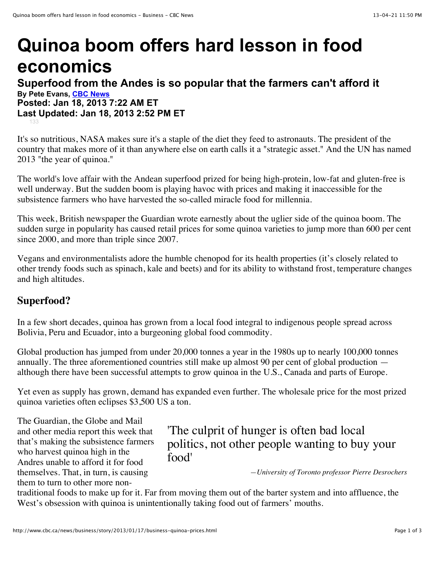# **Quinoa boom offers hard lesson in food economics**

### **Superfood from the Andes is so popular that the farmers can't afford it By Pete Evans, [CBC News](http://www.cbc.ca/news/credit.html) Posted: Jan 18, 2013 7:22 AM ET Last Updated: Jan 18, 2013 2:52 PM ET**

[133](http://www.cbc.ca/news/business/story/2013/01/17/business-quinoa-prices.html#socialcomments)

It's so nutritious, NASA makes sure it's a staple of the diet they feed to astronauts. The president of the country that makes more of it than anywhere else on earth calls it a "strategic asset." And the UN has named 2013 "the year of quinoa."

The world's love affair with the Andean superfood prized for being high-protein, low-fat and gluten-free is well underway. But the sudden boom is playing havoc with prices and making it inaccessible for the subsistence farmers who have harvested the so-called miracle food for millennia.

This week, British newspaper the Guardian wrote earnestly about the uglier side of the quinoa boom. The sudden surge in popularity has caused retail prices for some quinoa varieties to jump more than 600 per cent since 2000, and more than triple since 2007.

Vegans and environmentalists adore the humble chenopod for its health properties (it's closely related to other trendy foods such as spinach, kale and beets) and for its ability to withstand frost, temperature changes and high altitudes.

## **Superfood?**

In a few short decades, quinoa has grown from a local food integral to indigenous people spread across Bolivia, Peru and Ecuador, into a burgeoning global food commodity.

Global production has jumped from under 20,000 tonnes a year in the 1980s up to nearly 100,000 tonnes annually. The three aforementioned countries still make up almost 90 per cent of global production although there have been successful attempts to grow quinoa in the U.S., Canada and parts of Europe.

Yet even as supply has grown, demand has expanded even further. The wholesale price for the most prized quinoa varieties often eclipses \$3,500 US a ton.

The Guardian, the Globe and Mail and other media report this week that that's making the subsistence farmers who harvest quinoa high in the Andres unable to afford it for food themselves. That, in turn, is causing them to turn to other more non-

## 'The culprit of hunger is often bad local politics, not other people wanting to buy your food'

*—University of Toronto professor Pierre Desrochers*

traditional foods to make up for it. Far from moving them out of the barter system and into affluence, the West's obsession with quinoa is unintentionally taking food out of farmers' mouths.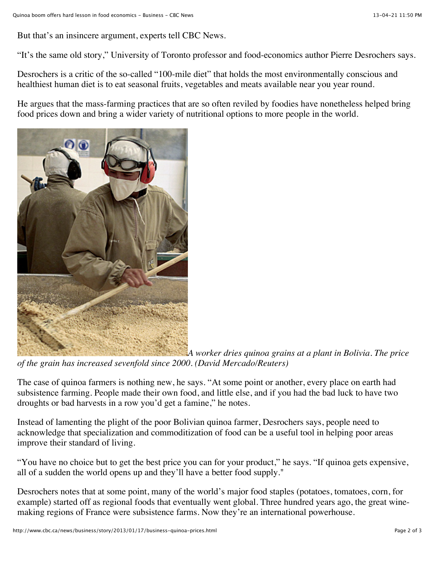But that's an insincere argument, experts tell CBC News.

"It's the same old story," University of Toronto professor and food-economics author Pierre Desrochers says.

Desrochers is a critic of the so-called "100-mile diet" that holds the most environmentally conscious and healthiest human diet is to eat seasonal fruits, vegetables and meats available near you year round.

He argues that the mass-farming practices that are so often reviled by foodies have nonetheless helped bring food prices down and bring a wider variety of nutritional options to more people in the world.



*A worker dries quinoa grains at a plant in Bolivia. The price of the grain has increased sevenfold since 2000. (David Mercado/Reuters)*

The case of quinoa farmers is nothing new, he says. "At some point or another, every place on earth had subsistence farming. People made their own food, and little else, and if you had the bad luck to have two droughts or bad harvests in a row you'd get a famine," he notes.

Instead of lamenting the plight of the poor Bolivian quinoa farmer, Desrochers says, people need to acknowledge that specialization and commoditization of food can be a useful tool in helping poor areas improve their standard of living.

"You have no choice but to get the best price you can for your product," he says. "If quinoa gets expensive, all of a sudden the world opens up and they'll have a better food supply."

Desrochers notes that at some point, many of the world's major food staples (potatoes, tomatoes, corn, for example) started off as regional foods that eventually went global. Three hundred years ago, the great winemaking regions of France were subsistence farms. Now they're an international powerhouse.